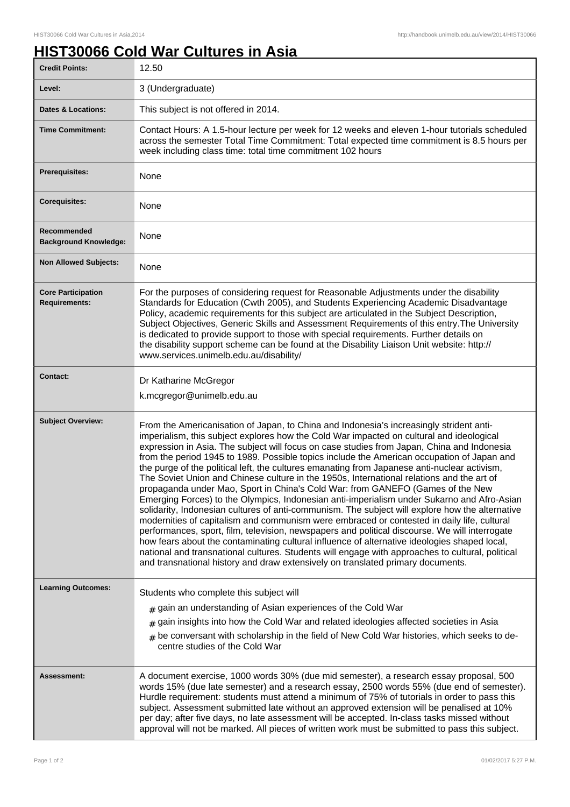## **HIST30066 Cold War Cultures in Asia**

| <b>Credit Points:</b>                             | 12.50                                                                                                                                                                                                                                                                                                                                                                                                                                                                                                                                                                                                                                                                                                                                                                                                                                                                                                                                                                                                                                                                                                                                                                                                                                                                                                                                                  |
|---------------------------------------------------|--------------------------------------------------------------------------------------------------------------------------------------------------------------------------------------------------------------------------------------------------------------------------------------------------------------------------------------------------------------------------------------------------------------------------------------------------------------------------------------------------------------------------------------------------------------------------------------------------------------------------------------------------------------------------------------------------------------------------------------------------------------------------------------------------------------------------------------------------------------------------------------------------------------------------------------------------------------------------------------------------------------------------------------------------------------------------------------------------------------------------------------------------------------------------------------------------------------------------------------------------------------------------------------------------------------------------------------------------------|
| Level:                                            | 3 (Undergraduate)                                                                                                                                                                                                                                                                                                                                                                                                                                                                                                                                                                                                                                                                                                                                                                                                                                                                                                                                                                                                                                                                                                                                                                                                                                                                                                                                      |
| <b>Dates &amp; Locations:</b>                     | This subject is not offered in 2014.                                                                                                                                                                                                                                                                                                                                                                                                                                                                                                                                                                                                                                                                                                                                                                                                                                                                                                                                                                                                                                                                                                                                                                                                                                                                                                                   |
| <b>Time Commitment:</b>                           | Contact Hours: A 1.5-hour lecture per week for 12 weeks and eleven 1-hour tutorials scheduled<br>across the semester Total Time Commitment: Total expected time commitment is 8.5 hours per<br>week including class time: total time commitment 102 hours                                                                                                                                                                                                                                                                                                                                                                                                                                                                                                                                                                                                                                                                                                                                                                                                                                                                                                                                                                                                                                                                                              |
| <b>Prerequisites:</b>                             | None                                                                                                                                                                                                                                                                                                                                                                                                                                                                                                                                                                                                                                                                                                                                                                                                                                                                                                                                                                                                                                                                                                                                                                                                                                                                                                                                                   |
| <b>Corequisites:</b>                              | None                                                                                                                                                                                                                                                                                                                                                                                                                                                                                                                                                                                                                                                                                                                                                                                                                                                                                                                                                                                                                                                                                                                                                                                                                                                                                                                                                   |
| Recommended<br><b>Background Knowledge:</b>       | None                                                                                                                                                                                                                                                                                                                                                                                                                                                                                                                                                                                                                                                                                                                                                                                                                                                                                                                                                                                                                                                                                                                                                                                                                                                                                                                                                   |
| <b>Non Allowed Subjects:</b>                      | None                                                                                                                                                                                                                                                                                                                                                                                                                                                                                                                                                                                                                                                                                                                                                                                                                                                                                                                                                                                                                                                                                                                                                                                                                                                                                                                                                   |
| <b>Core Participation</b><br><b>Requirements:</b> | For the purposes of considering request for Reasonable Adjustments under the disability<br>Standards for Education (Cwth 2005), and Students Experiencing Academic Disadvantage<br>Policy, academic requirements for this subject are articulated in the Subject Description,<br>Subject Objectives, Generic Skills and Assessment Requirements of this entry. The University<br>is dedicated to provide support to those with special requirements. Further details on<br>the disability support scheme can be found at the Disability Liaison Unit website: http://<br>www.services.unimelb.edu.au/disability/                                                                                                                                                                                                                                                                                                                                                                                                                                                                                                                                                                                                                                                                                                                                       |
| <b>Contact:</b>                                   | Dr Katharine McGregor<br>k.mcgregor@unimelb.edu.au                                                                                                                                                                                                                                                                                                                                                                                                                                                                                                                                                                                                                                                                                                                                                                                                                                                                                                                                                                                                                                                                                                                                                                                                                                                                                                     |
| <b>Subject Overview:</b>                          | From the Americanisation of Japan, to China and Indonesia's increasingly strident anti-<br>imperialism, this subject explores how the Cold War impacted on cultural and ideological<br>expression in Asia. The subject will focus on case studies from Japan, China and Indonesia<br>from the period 1945 to 1989. Possible topics include the American occupation of Japan and<br>the purge of the political left, the cultures emanating from Japanese anti-nuclear activism,<br>The Soviet Union and Chinese culture in the 1950s, International relations and the art of<br>propaganda under Mao, Sport in China's Cold War: from GANEFO (Games of the New<br>Emerging Forces) to the Olympics, Indonesian anti-imperialism under Sukarno and Afro-Asian<br>solidarity, Indonesian cultures of anti-communism. The subject will explore how the alternative<br>modernities of capitalism and communism were embraced or contested in daily life, cultural<br>performances, sport, film, television, newspapers and political discourse. We will interrogate<br>how fears about the contaminating cultural influence of alternative ideologies shaped local,<br>national and transnational cultures. Students will engage with approaches to cultural, political<br>and transnational history and draw extensively on translated primary documents. |
| <b>Learning Outcomes:</b>                         | Students who complete this subject will<br>$#$ gain an understanding of Asian experiences of the Cold War<br>gain insights into how the Cold War and related ideologies affected societies in Asia<br>#<br>$#$ be conversant with scholarship in the field of New Cold War histories, which seeks to de-<br>centre studies of the Cold War                                                                                                                                                                                                                                                                                                                                                                                                                                                                                                                                                                                                                                                                                                                                                                                                                                                                                                                                                                                                             |
| <b>Assessment:</b>                                | A document exercise, 1000 words 30% (due mid semester), a research essay proposal, 500<br>words 15% (due late semester) and a research essay, 2500 words 55% (due end of semester).<br>Hurdle requirement: students must attend a minimum of 75% of tutorials in order to pass this<br>subject. Assessment submitted late without an approved extension will be penalised at 10%<br>per day; after five days, no late assessment will be accepted. In-class tasks missed without<br>approval will not be marked. All pieces of written work must be submitted to pass this subject.                                                                                                                                                                                                                                                                                                                                                                                                                                                                                                                                                                                                                                                                                                                                                                    |